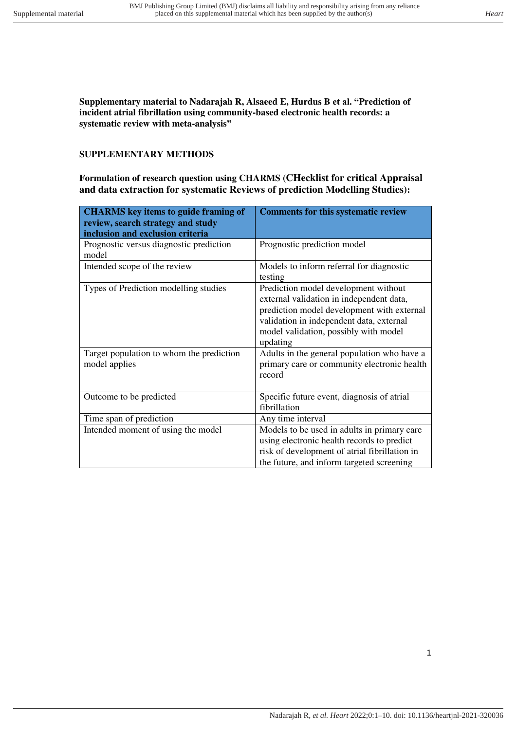**Supplementary material to Nadarajah R, Alsaeed E, Hurdus B et al. "Prediction of incident atrial fibrillation using community-based electronic health records: a systematic review with meta-analysis"**

#### **SUPPLEMENTARY METHODS**

**Formulation of research question using CHARMS (CHecklist for critical Appraisal and data extraction for systematic Reviews of prediction Modelling Studies):** 

| <b>CHARMS</b> key items to guide framing of<br>review, search strategy and study<br>inclusion and exclusion criteria | <b>Comments for this systematic review</b>                                                                                                                                                                                      |
|----------------------------------------------------------------------------------------------------------------------|---------------------------------------------------------------------------------------------------------------------------------------------------------------------------------------------------------------------------------|
| Prognostic versus diagnostic prediction<br>model                                                                     | Prognostic prediction model                                                                                                                                                                                                     |
| Intended scope of the review                                                                                         | Models to inform referral for diagnostic<br>testing                                                                                                                                                                             |
| Types of Prediction modelling studies                                                                                | Prediction model development without<br>external validation in independent data,<br>prediction model development with external<br>validation in independent data, external<br>model validation, possibly with model<br>updating |
| Target population to whom the prediction<br>model applies                                                            | Adults in the general population who have a<br>primary care or community electronic health<br>record                                                                                                                            |
| Outcome to be predicted                                                                                              | Specific future event, diagnosis of atrial<br>fibrillation                                                                                                                                                                      |
| Time span of prediction                                                                                              | Any time interval                                                                                                                                                                                                               |
| Intended moment of using the model                                                                                   | Models to be used in adults in primary care<br>using electronic health records to predict<br>risk of development of atrial fibrillation in<br>the future, and inform targeted screening                                         |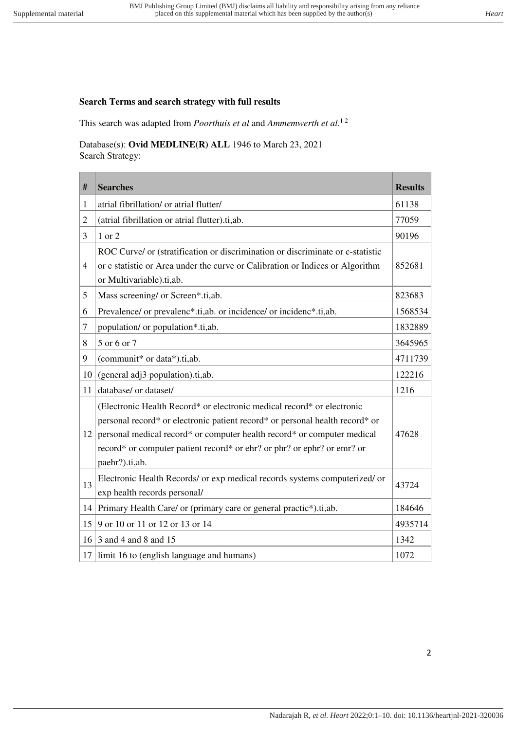# **Search Terms and search strategy with full results**

This search was adapted from *Poorthuis et al* and *Ammemwerth et al*. 1 2

Database(s): **Ovid MEDLINE(R) ALL** 1946 to March 23, 2021 Search Strategy:

| #              | <b>Searches</b>                                                                                                                                                                                                                                                                                                                | <b>Results</b> |
|----------------|--------------------------------------------------------------------------------------------------------------------------------------------------------------------------------------------------------------------------------------------------------------------------------------------------------------------------------|----------------|
| 1              | atrial fibrillation/ or atrial flutter/                                                                                                                                                                                                                                                                                        | 61138          |
| $\overline{2}$ | (atrial fibrillation or atrial flutter).ti,ab.                                                                                                                                                                                                                                                                                 | 77059          |
| 3              | 1 or 2                                                                                                                                                                                                                                                                                                                         | 90196          |
| $\overline{4}$ | ROC Curve/ or (stratification or discrimination or discriminate or c-statistic<br>or c statistic or Area under the curve or Calibration or Indices or Algorithm<br>or Multivariable).ti,ab.                                                                                                                                    | 852681         |
| 5              | Mass screening/ or Screen*.ti,ab.                                                                                                                                                                                                                                                                                              | 823683         |
| 6              | Prevalence/ or prevalenc*.ti,ab. or incidence/ or incidenc*.ti,ab.                                                                                                                                                                                                                                                             | 1568534        |
| 7              | population/ or population*.ti,ab.                                                                                                                                                                                                                                                                                              | 1832889        |
| 8              | 5 or 6 or 7                                                                                                                                                                                                                                                                                                                    | 3645965        |
| 9              | (communit* or data*).ti,ab.                                                                                                                                                                                                                                                                                                    | 4711739        |
| 10             | (general adj3 population).ti,ab.                                                                                                                                                                                                                                                                                               | 122216         |
| 11             | database/ or dataset/                                                                                                                                                                                                                                                                                                          | 1216           |
| 12             | (Electronic Health Record* or electronic medical record* or electronic<br>personal record* or electronic patient record* or personal health record* or<br>personal medical record* or computer health record* or computer medical<br>record* or computer patient record* or ehr? or phr? or ephr? or emr? or<br>paehr?).ti,ab. | 47628          |
| 13             | Electronic Health Records/ or exp medical records systems computerized/ or<br>exp health records personal/                                                                                                                                                                                                                     | 43724          |
| 14             | Primary Health Care/ or (primary care or general practic*).ti,ab.                                                                                                                                                                                                                                                              | 184646         |
| 15             | 9 or 10 or 11 or 12 or 13 or 14                                                                                                                                                                                                                                                                                                | 4935714        |
| 16             | 3 and 4 and 8 and 15                                                                                                                                                                                                                                                                                                           | 1342           |
| 17             | limit 16 to (english language and humans)                                                                                                                                                                                                                                                                                      | 1072           |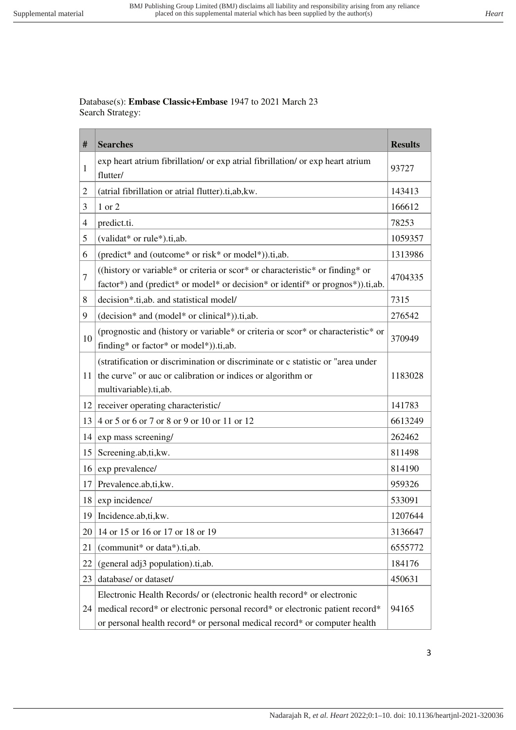Database(s): **Embase Classic+Embase** 1947 to 2021 March 23 Search Strategy:

| #              | <b>Searches</b>                                                                                                                                                         | <b>Results</b> |
|----------------|-------------------------------------------------------------------------------------------------------------------------------------------------------------------------|----------------|
| 1              | exp heart atrium fibrillation/ or exp atrial fibrillation/ or exp heart atrium<br>flutter/                                                                              | 93727          |
| $\overline{c}$ | (atrial fibrillation or atrial flutter).ti,ab, kw.                                                                                                                      | 143413         |
| 3              | 1 or 2                                                                                                                                                                  | 166612         |
| 4              | predict.ti.                                                                                                                                                             | 78253          |
| 5              | (validat* or rule*).ti,ab.                                                                                                                                              | 1059357        |
| 6              | (predict* and (outcome* or risk* or model*)).ti,ab.                                                                                                                     | 1313986        |
| 7              | ((history or variable* or criteria or scor* or characteristic* or finding* or<br>factor*) and (predict* or model* or decision* or identif* or prognos*)).ti,ab.         | 4704335        |
| 8              | decision*.ti,ab. and statistical model/                                                                                                                                 | 7315           |
| 9              | (decision* and (model* or clinical*)).ti,ab.                                                                                                                            | 276542         |
| 10             | (prognostic and (history or variable* or criteria or scor* or characteristic* or<br>finding* or factor* or model*)).ti,ab.                                              | 370949         |
| 11             | (stratification or discrimination or discriminate or c statistic or "area under<br>the curve" or auc or calibration or indices or algorithm or<br>multivariable).ti,ab. | 1183028        |
| 12             | receiver operating characteristic/                                                                                                                                      | 141783         |
| 13             | 4 or 5 or 6 or 7 or 8 or 9 or 10 or 11 or 12                                                                                                                            | 6613249        |
| 14             | exp mass screening/                                                                                                                                                     | 262462         |
| 15             | Screening.ab,ti,kw.                                                                                                                                                     | 811498         |
| 16             | exp prevalence/                                                                                                                                                         | 814190         |
| 17             | Prevalence.ab,ti,kw.                                                                                                                                                    | 959326         |
| 18             | exp incidence/                                                                                                                                                          | 533091         |
|                | 19   Incidence.ab,ti, kw.                                                                                                                                               | 1207644        |
| 20             | 14 or 15 or 16 or 17 or 18 or 19                                                                                                                                        | 3136647        |
| 21             | (communit* or data*).ti,ab.                                                                                                                                             | 6555772        |
| 22             | (general adj3 population).ti,ab.                                                                                                                                        | 184176         |
| 23             | database/ or dataset/                                                                                                                                                   | 450631         |
|                | Electronic Health Records/ or (electronic health record* or electronic                                                                                                  |                |
| 24             | medical record* or electronic personal record* or electronic patient record*                                                                                            | 94165          |
|                | or personal health record* or personal medical record* or computer health                                                                                               |                |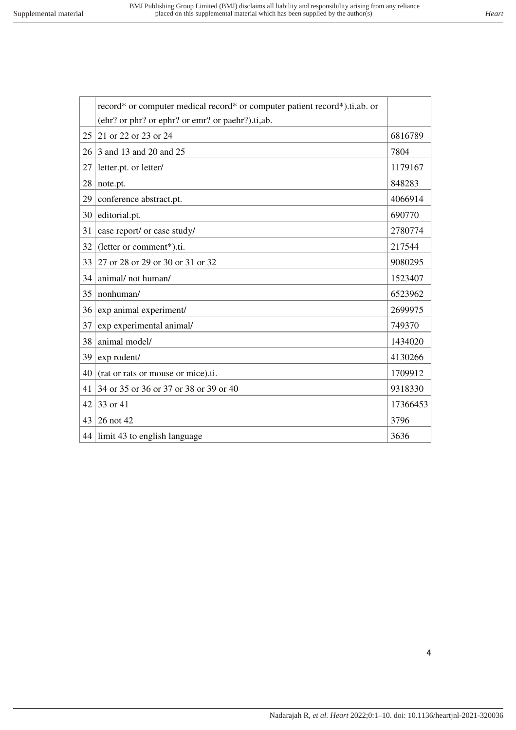|    | record* or computer medical record* or computer patient record*).ti,ab. or |          |
|----|----------------------------------------------------------------------------|----------|
|    | (ehr? or phr? or ephr? or emr? or paehr?).ti,ab.                           |          |
| 25 | 21 or 22 or 23 or 24                                                       | 6816789  |
| 26 | 3 and 13 and 20 and 25                                                     | 7804     |
| 27 | letter.pt. or letter/                                                      | 1179167  |
| 28 | note.pt.                                                                   | 848283   |
| 29 | conference abstract.pt.                                                    | 4066914  |
| 30 | editorial.pt.                                                              | 690770   |
| 31 | case report/ or case study/                                                | 2780774  |
| 32 | (letter or comment*).ti.                                                   | 217544   |
| 33 | 27 or 28 or 29 or 30 or 31 or 32                                           | 9080295  |
| 34 | animal/not human/                                                          | 1523407  |
| 35 | nonhuman/                                                                  | 6523962  |
| 36 | exp animal experiment/                                                     | 2699975  |
| 37 | exp experimental animal/                                                   | 749370   |
| 38 | animal model/                                                              | 1434020  |
| 39 | exp rodent/                                                                | 4130266  |
| 40 | (rat or rats or mouse or mice).ti.                                         | 1709912  |
| 41 | 34 or 35 or 36 or 37 or 38 or 39 or 40                                     | 9318330  |
| 42 | 33 or 41                                                                   | 17366453 |
| 43 | 26 not 42                                                                  | 3796     |
|    | 44 limit 43 to english language                                            | 3636     |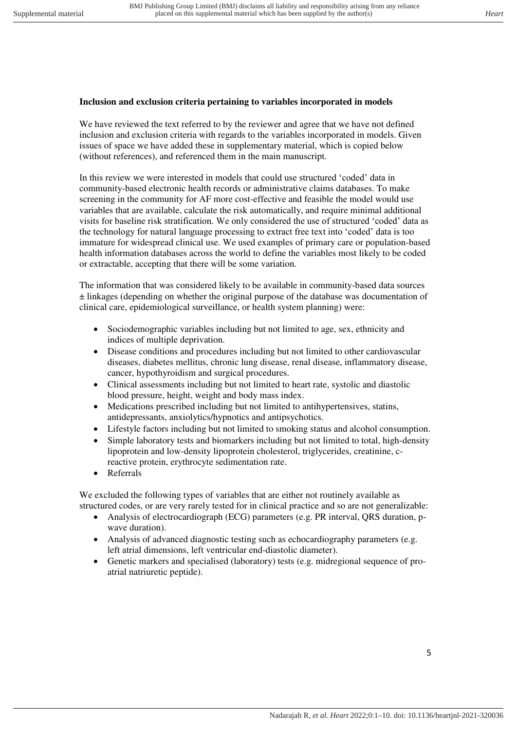## **Inclusion and exclusion criteria pertaining to variables incorporated in models**

We have reviewed the text referred to by the reviewer and agree that we have not defined inclusion and exclusion criteria with regards to the variables incorporated in models. Given issues of space we have added these in supplementary material, which is copied below (without references), and referenced them in the main manuscript.

In this review we were interested in models that could use structured 'coded' data in community-based electronic health records or administrative claims databases. To make screening in the community for AF more cost-effective and feasible the model would use variables that are available, calculate the risk automatically, and require minimal additional visits for baseline risk stratification. We only considered the use of structured 'coded' data as the technology for natural language processing to extract free text into 'coded' data is too immature for widespread clinical use. We used examples of primary care or population-based health information databases across the world to define the variables most likely to be coded or extractable, accepting that there will be some variation.

The information that was considered likely to be available in community-based data sources ± linkages (depending on whether the original purpose of the database was documentation of clinical care, epidemiological surveillance, or health system planning) were:

- Sociodemographic variables including but not limited to age, sex, ethnicity and indices of multiple deprivation.
- Disease conditions and procedures including but not limited to other cardiovascular diseases, diabetes mellitus, chronic lung disease, renal disease, inflammatory disease, cancer, hypothyroidism and surgical procedures.
- Clinical assessments including but not limited to heart rate, systolic and diastolic blood pressure, height, weight and body mass index.
- Medications prescribed including but not limited to antihypertensives, statins, antidepressants, anxiolytics/hypnotics and antipsychotics.
- Lifestyle factors including but not limited to smoking status and alcohol consumption.
- Simple laboratory tests and biomarkers including but not limited to total, high-density lipoprotein and low-density lipoprotein cholesterol, triglycerides, creatinine, creactive protein, erythrocyte sedimentation rate.
- Referrals

We excluded the following types of variables that are either not routinely available as structured codes, or are very rarely tested for in clinical practice and so are not generalizable:

- Analysis of electrocardiograph (ECG) parameters (e.g. PR interval, QRS duration, pwave duration).
- Analysis of advanced diagnostic testing such as echocardiography parameters (e.g. left atrial dimensions, left ventricular end-diastolic diameter).
- Genetic markers and specialised (laboratory) tests (e.g. midregional sequence of proatrial natriuretic peptide).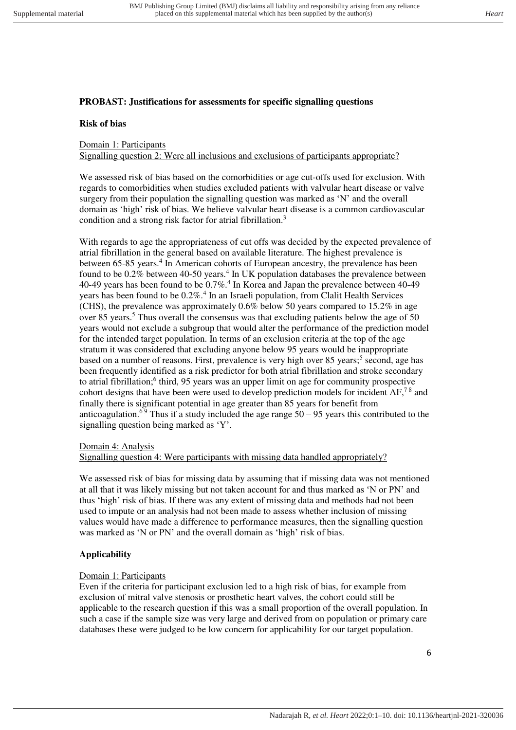## **PROBAST: Justifications for assessments for specific signalling questions**

#### **Risk of bias**

## Domain 1: Participants

Signalling question 2: Were all inclusions and exclusions of participants appropriate?

We assessed risk of bias based on the comorbidities or age cut-offs used for exclusion. With regards to comorbidities when studies excluded patients with valvular heart disease or valve surgery from their population the signalling question was marked as 'N' and the overall domain as 'high' risk of bias. We believe valvular heart disease is a common cardiovascular condition and a strong risk factor for atrial fibrillation.<sup>3</sup>

With regards to age the appropriateness of cut offs was decided by the expected prevalence of atrial fibrillation in the general based on available literature. The highest prevalence is between 65-85 years.<sup>4</sup> In American cohorts of European ancestry, the prevalence has been found to be  $0.2\%$  between 40-50 years.<sup>4</sup> In UK population databases the prevalence between 40-49 years has been found to be 0.7%.<sup>4</sup> In Korea and Japan the prevalence between 40-49 years has been found to be  $0.2\%$ .<sup>4</sup> In an Israeli population, from Clalit Health Services (CHS), the prevalence was approximately 0.6% below 50 years compared to 15.2% in age over 85 years.<sup>5</sup> Thus overall the consensus was that excluding patients below the age of 50 years would not exclude a subgroup that would alter the performance of the prediction model for the intended target population. In terms of an exclusion criteria at the top of the age stratum it was considered that excluding anyone below 95 years would be inappropriate based on a number of reasons. First, prevalence is very high over 85 years;<sup>5</sup> second, age has been frequently identified as a risk predictor for both atrial fibrillation and stroke secondary to atrial fibrillation;<sup>6</sup> third, 95 years was an upper limit on age for community prospective cohort designs that have been were used to develop prediction models for incident AF,<sup>78</sup> and finally there is significant potential in age greater than 85 years for benefit from anticoagulation.<sup>69</sup> Thus if a study included the age range  $50 - 95$  years this contributed to the signalling question being marked as 'Y'.

#### Domain 4: Analysis

#### Signalling question 4: Were participants with missing data handled appropriately?

We assessed risk of bias for missing data by assuming that if missing data was not mentioned at all that it was likely missing but not taken account for and thus marked as 'N or PN' and thus 'high' risk of bias. If there was any extent of missing data and methods had not been used to impute or an analysis had not been made to assess whether inclusion of missing values would have made a difference to performance measures, then the signalling question was marked as 'N or PN' and the overall domain as 'high' risk of bias.

#### **Applicability**

#### Domain 1: Participants

Even if the criteria for participant exclusion led to a high risk of bias, for example from exclusion of mitral valve stenosis or prosthetic heart valves, the cohort could still be applicable to the research question if this was a small proportion of the overall population. In such a case if the sample size was very large and derived from on population or primary care databases these were judged to be low concern for applicability for our target population.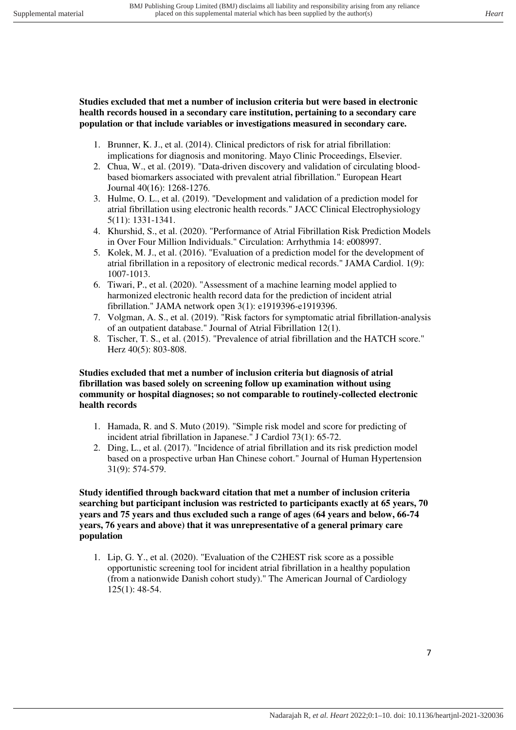**Studies excluded that met a number of inclusion criteria but were based in electronic health records housed in a secondary care institution, pertaining to a secondary care population or that include variables or investigations measured in secondary care.** 

- 1. Brunner, K. J., et al. (2014). Clinical predictors of risk for atrial fibrillation: implications for diagnosis and monitoring. Mayo Clinic Proceedings, Elsevier.
- 2. Chua, W., et al. (2019). "Data-driven discovery and validation of circulating bloodbased biomarkers associated with prevalent atrial fibrillation." European Heart Journal 40(16): 1268-1276.
- 3. Hulme, O. L., et al. (2019). "Development and validation of a prediction model for atrial fibrillation using electronic health records." JACC Clinical Electrophysiology 5(11): 1331-1341.
- 4. Khurshid, S., et al. (2020). "Performance of Atrial Fibrillation Risk Prediction Models in Over Four Million Individuals." Circulation: Arrhythmia 14: e008997.
- 5. Kolek, M. J., et al. (2016). "Evaluation of a prediction model for the development of atrial fibrillation in a repository of electronic medical records." JAMA Cardiol. 1(9): 1007-1013.
- 6. Tiwari, P., et al. (2020). "Assessment of a machine learning model applied to harmonized electronic health record data for the prediction of incident atrial fibrillation." JAMA network open 3(1): e1919396-e1919396.
- 7. Volgman, A. S., et al. (2019). "Risk factors for symptomatic atrial fibrillation-analysis of an outpatient database." Journal of Atrial Fibrillation 12(1).
- 8. Tischer, T. S., et al. (2015). "Prevalence of atrial fibrillation and the HATCH score." Herz 40(5): 803-808.

## **Studies excluded that met a number of inclusion criteria but diagnosis of atrial fibrillation was based solely on screening follow up examination without using community or hospital diagnoses; so not comparable to routinely-collected electronic health records**

- 1. Hamada, R. and S. Muto (2019). "Simple risk model and score for predicting of incident atrial fibrillation in Japanese." J Cardiol 73(1): 65-72.
- 2. Ding, L., et al. (2017). "Incidence of atrial fibrillation and its risk prediction model based on a prospective urban Han Chinese cohort." Journal of Human Hypertension 31(9): 574-579.

#### **Study identified through backward citation that met a number of inclusion criteria searching but participant inclusion was restricted to participants exactly at 65 years, 70 years and 75 years and thus excluded such a range of ages (64 years and below, 66-74 years, 76 years and above) that it was unrepresentative of a general primary care population**

1. Lip, G. Y., et al. (2020). "Evaluation of the C2HEST risk score as a possible opportunistic screening tool for incident atrial fibrillation in a healthy population (from a nationwide Danish cohort study)." The American Journal of Cardiology 125(1): 48-54.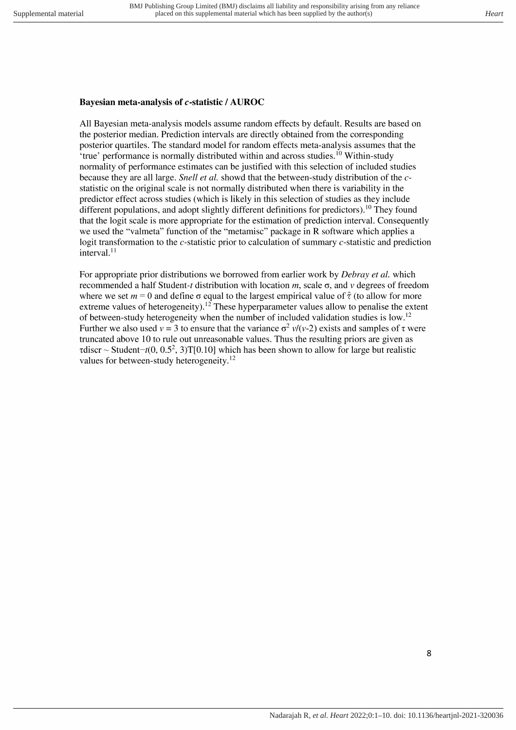## Bayesian meta-analysis of c-statistic / AUROC

All Bayesian meta-analysis models assume random effects by default. Results are based on the posterior median. Prediction intervals are directly obtained from the corresponding posterior quartiles. The standard model for random effects meta-analysis assumes that the 'true' performance is normally distributed within and across studies.<sup>10</sup> Within-study normality of performance estimates can be justified with this selection of included studies because they are all large. Snell et al. showd that the between-study distribution of the cstatistic on the original scale is not normally distributed when there is variability in the predictor effect across studies (which is likely in this selection of studies as they include different populations, and adopt slightly different definitions for predictors).<sup>10</sup> They found that the logit scale is more appropriate for the estimation of prediction interval. Consequently we used the "valmeta" function of the "metamisc" package in R software which applies a logit transformation to the c-statistic prior to calculation of summary c-statistic and prediction interval. $11$ 

For appropriate prior distributions we borrowed from earlier work by *Debray et al.* which recommended a half Student-t distribution with location m, scale  $\sigma$ , and v degrees of freedom where we set  $m = 0$  and define  $\sigma$  equal to the largest empirical value of  $\hat{\tau}$  (to allow for more extreme values of heterogeneity).<sup>12</sup> These hyperparameter values allow to penalise the extent of between-study heterogeneity when the number of included validation studies is low.<sup>12</sup> Further we also used  $v = 3$  to ensure that the variance  $\sigma^2 v/(v-2)$  exists and samples of  $\tau$  were truncated above 10 to rule out unreasonable values. Thus the resulting priors are given as rdiscr ~ Student-t(0, 0.5<sup>2</sup>, 3)T[0.10] which has been shown to allow for large but realistic values for between-study heterogeneity.<sup>12</sup>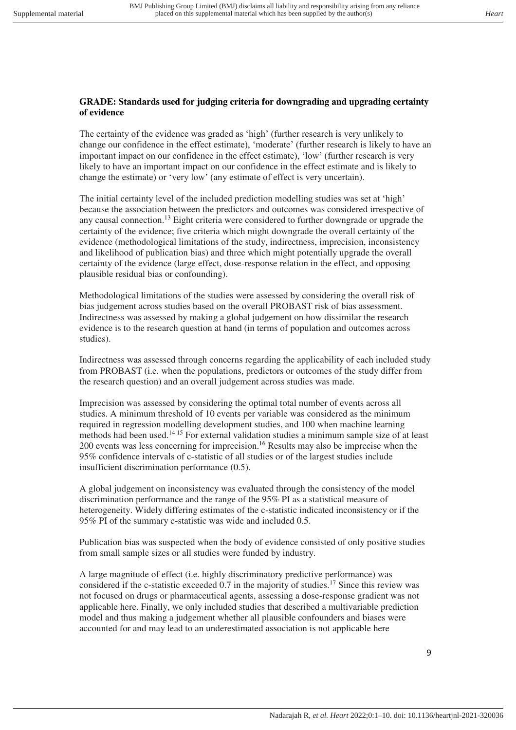## **GRADE: Standards used for judging criteria for downgrading and upgrading certainty of evidence**

The certainty of the evidence was graded as 'high' (further research is very unlikely to change our confidence in the effect estimate), 'moderate' (further research is likely to have an important impact on our confidence in the effect estimate), 'low' (further research is very likely to have an important impact on our confidence in the effect estimate and is likely to change the estimate) or 'very low' (any estimate of effect is very uncertain).

The initial certainty level of the included prediction modelling studies was set at 'high' because the association between the predictors and outcomes was considered irrespective of any causal connection.<sup>13</sup> Eight criteria were considered to further downgrade or upgrade the certainty of the evidence; five criteria which might downgrade the overall certainty of the evidence (methodological limitations of the study, indirectness, imprecision, inconsistency and likelihood of publication bias) and three which might potentially upgrade the overall certainty of the evidence (large effect, dose-response relation in the effect, and opposing plausible residual bias or confounding).

Methodological limitations of the studies were assessed by considering the overall risk of bias judgement across studies based on the overall PROBAST risk of bias assessment. Indirectness was assessed by making a global judgement on how dissimilar the research evidence is to the research question at hand (in terms of population and outcomes across studies).

Indirectness was assessed through concerns regarding the applicability of each included study from PROBAST (i.e. when the populations, predictors or outcomes of the study differ from the research question) and an overall judgement across studies was made.

Imprecision was assessed by considering the optimal total number of events across all studies. A minimum threshold of 10 events per variable was considered as the minimum required in regression modelling development studies, and 100 when machine learning methods had been used.14 15 For external validation studies a minimum sample size of at least 200 events was less concerning for imprecision. <sup>16</sup> Results may also be imprecise when the 95% confidence intervals of c-statistic of all studies or of the largest studies include insufficient discrimination performance (0.5).

A global judgement on inconsistency was evaluated through the consistency of the model discrimination performance and the range of the 95% PI as a statistical measure of heterogeneity. Widely differing estimates of the c-statistic indicated inconsistency or if the 95% PI of the summary c-statistic was wide and included 0.5.

Publication bias was suspected when the body of evidence consisted of only positive studies from small sample sizes or all studies were funded by industry.

A large magnitude of effect (i.e. highly discriminatory predictive performance) was considered if the c-statistic exceeded 0.7 in the majority of studies.<sup>17</sup> Since this review was not focused on drugs or pharmaceutical agents, assessing a dose-response gradient was not applicable here. Finally, we only included studies that described a multivariable prediction model and thus making a judgement whether all plausible confounders and biases were accounted for and may lead to an underestimated association is not applicable here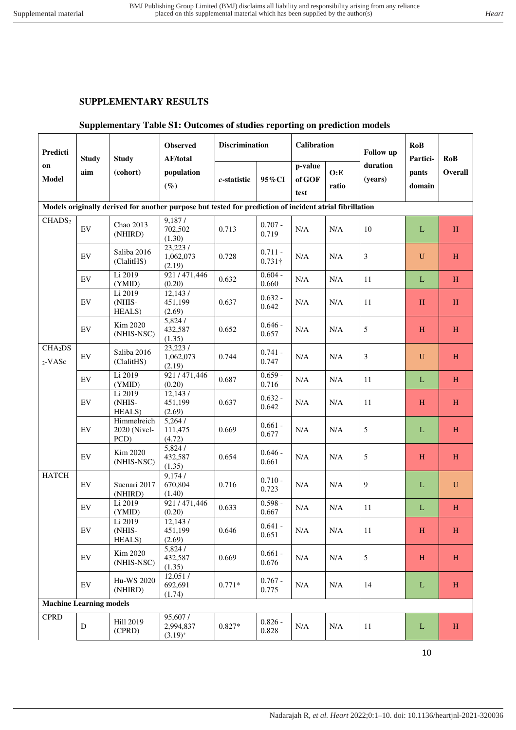## **SUPPLEMENTARY RESULTS**

## **Supplementary Table S1: Outcomes of studies reporting on prediction models**

| Predicti                       | <b>Study</b>               | <b>Study</b>                        | <b>Observed</b><br>AF/total                                                                             | <b>Discrimination</b> |                             | Calibration   |                     | Follow up       | <b>RoB</b><br>Partici- | <b>RoB</b><br><b>Overall</b> |
|--------------------------------|----------------------------|-------------------------------------|---------------------------------------------------------------------------------------------------------|-----------------------|-----------------------------|---------------|---------------------|-----------------|------------------------|------------------------------|
| on<br><b>Model</b>             | aim                        | (cohort)                            | population<br>95%CI<br>$c$ -statistic<br>$(\%)$                                                         |                       | p-value<br>of GOF<br>test   | O: E<br>ratio | duration<br>(years) | pants<br>domain |                        |                              |
|                                |                            |                                     | Models originally derived for another purpose but tested for prediction of incident atrial fibrillation |                       |                             |               |                     |                 |                        |                              |
| CHADS <sub>2</sub>             | EV                         | Chao 2013<br>(NHIRD)                | 9,187/<br>702,502<br>(1.30)                                                                             | 0.713                 | $0.707 -$<br>0.719          | $\rm N/A$     | $\rm N/A$           | 10              | $\mathbf{L}$           | H                            |
|                                | EV                         | Saliba 2016<br>(ClalitHS)           | 23,223/<br>1,062,073<br>(2.19)                                                                          | 0.728                 | $0.711 -$<br>$0.731\dagger$ | N/A           | N/A                 | 3               | $\mathbf U$            | H                            |
|                                | $\mathop{\rm EV}\nolimits$ | Li 2019<br>(YMID)                   | 921/471,446<br>(0.20)                                                                                   | 0.632                 | $0.604 -$<br>0.660          | N/A           | N/A                 | 11              | $\mathbf{L}$           | $\,$ H                       |
|                                | EV                         | Li 2019<br>(NHIS-<br><b>HEALS</b> ) | 12,143/<br>451,199<br>(2.69)                                                                            | 0.637                 | $0.632 -$<br>0.642          | N/A           | N/A                 | 11              | H                      | H                            |
|                                | EV                         | Kim 2020<br>(NHIS-NSC)              | 5,824/<br>432,587<br>(1.35)                                                                             | 0.652                 | $0.646 -$<br>0.657          | N/A           | N/A                 | $\sqrt{5}$      | H                      | H                            |
| CHA <sub>2</sub> DS<br>2-VASc  | $\mathop{\rm EV}\nolimits$ | Saliba 2016<br>(ClalitHS)           | 23,2237<br>1,062,073<br>(2.19)                                                                          | 0.744                 | $0.741 -$<br>0.747          | N/A           | N/A                 | $\mathfrak{Z}$  | $\mathbf U$            | H                            |
|                                | EV                         | Li 2019<br>(YMID)                   | 921/471,446<br>(0.20)                                                                                   | 0.687                 | $0.659 -$<br>0.716          | $\rm N/A$     | N/A                 | 11              | $\mathbf{L}$           | $\, {\rm H}$                 |
|                                | $\mathop{\rm EV}\nolimits$ | Li 2019<br>(NHIS-<br>HEALS)         | 12,143/<br>451,199<br>(2.69)                                                                            | 0.637                 | $0.632 -$<br>0.642          | $\rm N/A$     | $\rm N/A$           | 11              | $H_{\rm}$              | H                            |
|                                | EV                         | Himmelreich<br>2020 (Nivel-<br>PCD) | 5,264/<br>111,475<br>(4.72)                                                                             | 0.669                 | $0.661 -$<br>0.677          | N/A           | $\rm N/A$           | $\sqrt{5}$      | $\mathbf{L}$           | H                            |
|                                | $\mathop{\rm EV}\nolimits$ | Kim 2020<br>(NHIS-NSC)              | 5,824/<br>432,587<br>(1.35)                                                                             | 0.654                 | $0.646 -$<br>0.661          | $\rm N/A$     | $\rm N/A$           | 5               | H                      | H                            |
| <b>HATCH</b>                   | $\mathop{\rm EV}\nolimits$ | Suenari 2017<br>(NHIRD)             | 9,174/<br>670,804<br>(1.40)                                                                             | 0.716                 | $0.710 -$<br>0.723          | N/A           | N/A                 | $\overline{9}$  | $\mathbf{L}$           | U                            |
|                                | $\mathop{\rm EV}\nolimits$ | Li 2019<br>(YMID)                   | 921/471,446<br>(0.20)                                                                                   | 0.633                 | $0.598 -$<br>0.667          | N/A           | $\rm N/A$           | 11              | $\mathbf{L}$           | H                            |
|                                | EV                         | Li 2019<br>(NHIS-<br>HEALS)         | 12,143/<br>451,199<br>(2.69)                                                                            | 0.646                 | $0.641 -$<br>0.651          | $\rm N/A$     | $\rm N/A$           | 11              | $H_{\rm}$              | $\, {\rm H}$                 |
|                                | EV                         | Kim 2020<br>(NHIS-NSC)              | 5,824/<br>432,587<br>(1.35)                                                                             | 0.669                 | $0.661 -$<br>0.676          | $\rm N/A$     | N/A                 | $5\,$           | H                      | H                            |
|                                | $\mathop{\rm EV}\nolimits$ | Hu-WS 2020<br>(NHIRD)               | 12,051/<br>692,691<br>(1.74)                                                                            | $0.771*$              | $0.767 -$<br>0.775          | $\rm N/A$     | N/A                 | 14              | L                      | H                            |
| <b>Machine Learning models</b> |                            |                                     |                                                                                                         |                       |                             |               |                     |                 |                        |                              |
| <b>CPRD</b>                    | D                          | Hill 2019<br>(CPRD)                 | 95,607/<br>2,994,837<br>$(3.19)^{+}$                                                                    | $0.827*$              | $0.826 -$<br>0.828          | $\rm N/A$     | $\rm N/A$           | 11              | $\Gamma$               | H                            |

10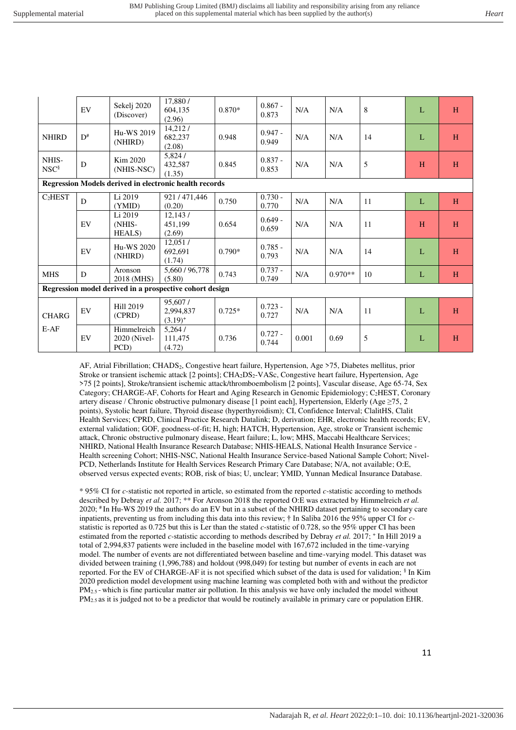|                           | EV          | Sekelj 2020<br>(Discover)           | 17,880/<br>604,135<br>(2.96)                                  | $0.870*$ | $0.867 -$<br>0.873 | N/A   | N/A       | 8  | L | H |
|---------------------------|-------------|-------------------------------------|---------------------------------------------------------------|----------|--------------------|-------|-----------|----|---|---|
| <b>NHIRD</b>              | $D^{\#}$    | Hu-WS 2019<br>(NHIRD)               | 14,212/<br>682,237<br>(2.08)                                  | 0.948    | $0.947 -$<br>0.949 | N/A   | N/A       | 14 | L | H |
| NHIS-<br>NSC <sup>§</sup> | $\mathbf D$ | Kim 2020<br>(NHIS-NSC)              | 5,824/<br>432,587<br>(1.35)                                   | 0.845    | $0.837 -$<br>0.853 | N/A   | N/A       | 5  | H | H |
|                           |             |                                     | <b>Regression Models derived in electronic health records</b> |          |                    |       |           |    |   |   |
| C <sub>2</sub> HEST       | D           | Li 2019<br>(YMID)                   | 921/471,446<br>(0.20)                                         | 0.750    | $0.730 -$<br>0.770 | N/A   | N/A       | 11 | L | H |
|                           | EV          | Li 2019<br>(NHIS-<br><b>HEALS</b> ) | 12,143/<br>451,199<br>(2.69)                                  | 0.654    | $0.649 -$<br>0.659 | N/A   | N/A       | 11 | H | H |
|                           | EV          | Hu-WS 2020<br>(NHIRD)               | 12,051/<br>692,691<br>(1.74)                                  | $0.790*$ | $0.785 -$<br>0.793 | N/A   | N/A       | 14 | L | H |
| <b>MHS</b>                | D           | Aronson<br>2018 (MHS)               | 5,660 / 96,778<br>(5.80)                                      | 0.743    | $0.737 -$<br>0.749 | N/A   | $0.970**$ | 10 | L | H |
|                           |             |                                     | Regression model derived in a prospective cohort design       |          |                    |       |           |    |   |   |
| <b>CHARG</b>              | EV          | <b>Hill 2019</b><br>(CPRD)          | 95,607/<br>2,994,837<br>$(3.19)^{+}$                          | $0.725*$ | $0.723 -$<br>0.727 | N/A   | N/A       | 11 | L | H |
| $E-AF$                    | EV          | Himmelreich<br>2020 (Nivel-<br>PCD) | 5,264/<br>111,475<br>(4.72)                                   | 0.736    | $0.727 -$<br>0.744 | 0.001 | 0.69      | 5  | L | H |

AF, Atrial Fibrillation; CHADS<sub>2</sub>, Congestive heart failure, Hypertension, Age >75, Diabetes mellitus, prior Stroke or transient ischemic attack [2 points]; CHA2DS2-VASc, Congestive heart failure, Hypertension, Age >75 [2 points], Stroke/transient ischemic attack/thromboembolism [2 points], Vascular disease, Age 65-74, Sex Category; CHARGE-AF, Cohorts for Heart and Aging Research in Genomic Epidemiology; C2HEST, Coronary artery disease / Chronic obstructive pulmonary disease [1 point each], Hypertension, Elderly (Age ≥75, 2 points), Systolic heart failure, Thyroid disease (hyperthyroidism); CI, Confidence Interval; ClalitHS, Clalit Health Services; CPRD, Clinical Practice Research Datalink; D, derivation; EHR, electronic health records; EV, external validation; GOF, goodness-of-fit; H, high; HATCH, Hypertension, Age, stroke or Transient ischemic attack, Chronic obstructive pulmonary disease, Heart failure; L, low; MHS, Maccabi Healthcare Services; NHIRD, National Health Insurance Research Database; NHIS-HEALS, National Health Insurance Service - Health screening Cohort; NHIS-NSC, National Health Insurance Service-based National Sample Cohort; Nivel-PCD, Netherlands Institute for Health Services Research Primary Care Database; N/A, not available; O:E, observed versus expected events; ROB, risk of bias; U, unclear; YMID, Yunnan Medical Insurance Database.

\* 95% CI for *c-*statistic not reported in article, so estimated from the reported *c-*statistic according to methods described by Debray *et al.* 2017; \*\* For Aronson 2018 the reported O:E was extracted by Himmelreich *et al.*  2020; # In Hu-WS 2019 the authors do an EV but in a subset of the NHIRD dataset pertaining to secondary care inpatients, preventing us from including this data into this review; † In Saliba 2016 the 95% upper CI for *c*statistic is reported as 0.725 but this is Ler than the stated *c-*statistic of 0.728, so the 95% upper CI has been estimated from the reported *c*-statistic according to methods described by Debray *et al.* 2017; <sup>+</sup> In Hill 2019 a total of 2,994,837 patients were included in the baseline model with 167,672 included in the time-varying model. The number of events are not differentiated between baseline and time-varying model. This dataset was divided between training (1,996,788) and holdout (998,049) for testing but number of events in each are not reported. For the EV of CHARGE-AF it is not specified which subset of the data is used for validation; § In Kim 2020 prediction model development using machine learning was completed both with and without the predictor PM<sub>2.5</sub> - which is fine particular matter air pollution. In this analysis we have only included the model without PM2.5 as it is judged not to be a predictor that would be routinely available in primary care or population EHR.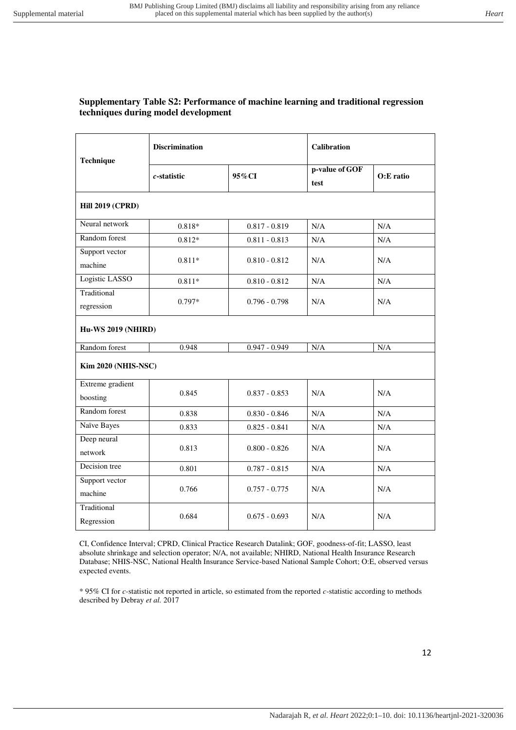#### **Supplementary Table S2: Performance of machine learning and traditional regression techniques during model development**

| Technique                  | <b>Discrimination</b> |                 | <b>Calibration</b>     |           |  |  |  |  |
|----------------------------|-----------------------|-----------------|------------------------|-----------|--|--|--|--|
|                            | $c$ -statistic        | 95%CI           | p-value of GOF<br>test | O:E ratio |  |  |  |  |
| <b>Hill 2019 (CPRD)</b>    |                       |                 |                        |           |  |  |  |  |
| Neural network             | $0.818*$              | $0.817 - 0.819$ | N/A                    | N/A       |  |  |  |  |
| Random forest              | $0.812*$              | $0.811 - 0.813$ | N/A                    | N/A       |  |  |  |  |
| Support vector             |                       |                 |                        |           |  |  |  |  |
| machine                    | $0.811*$              | $0.810 - 0.812$ | N/A                    | N/A       |  |  |  |  |
| Logistic LASSO             | $0.811*$              | $0.810 - 0.812$ | N/A                    | N/A       |  |  |  |  |
| Traditional                |                       |                 |                        |           |  |  |  |  |
| regression                 | $0.797*$              | $0.796 - 0.798$ | N/A                    | N/A       |  |  |  |  |
| <b>Hu-WS 2019 (NHIRD)</b>  |                       |                 |                        |           |  |  |  |  |
| Random forest              | 0.948                 | $0.947 - 0.949$ | N/A                    | N/A       |  |  |  |  |
| <b>Kim 2020 (NHIS-NSC)</b> |                       |                 |                        |           |  |  |  |  |
| Extreme gradient           |                       |                 |                        |           |  |  |  |  |
| boosting                   | 0.845                 | $0.837 - 0.853$ | N/A                    | N/A       |  |  |  |  |
| Random forest              | 0.838                 | $0.830 - 0.846$ | N/A                    | N/A       |  |  |  |  |
| Naïve Bayes                | 0.833                 | $0.825 - 0.841$ | N/A                    | N/A       |  |  |  |  |
| Deep neural                |                       |                 |                        |           |  |  |  |  |
| network                    | 0.813                 | $0.800 - 0.826$ | N/A                    | N/A       |  |  |  |  |
| Decision tree              | 0.801                 | $0.787 - 0.815$ | N/A                    | N/A       |  |  |  |  |
| Support vector             | 0.766                 | $0.757 - 0.775$ | N/A                    | N/A       |  |  |  |  |
| machine                    |                       |                 |                        |           |  |  |  |  |
| Traditional                | 0.684                 | $0.675 - 0.693$ | N/A                    |           |  |  |  |  |
| Regression                 |                       |                 |                        | N/A       |  |  |  |  |

CI, Confidence Interval; CPRD, Clinical Practice Research Datalink; GOF, goodness-of-fit; LASSO, least absolute shrinkage and selection operator; N/A, not available; NHIRD, National Health Insurance Research Database; NHIS-NSC, National Health Insurance Service-based National Sample Cohort; O:E, observed versus expected events.

\* 95% CI for *c-*statistic not reported in article, so estimated from the reported *c-*statistic according to methods described by Debray *et al.* 2017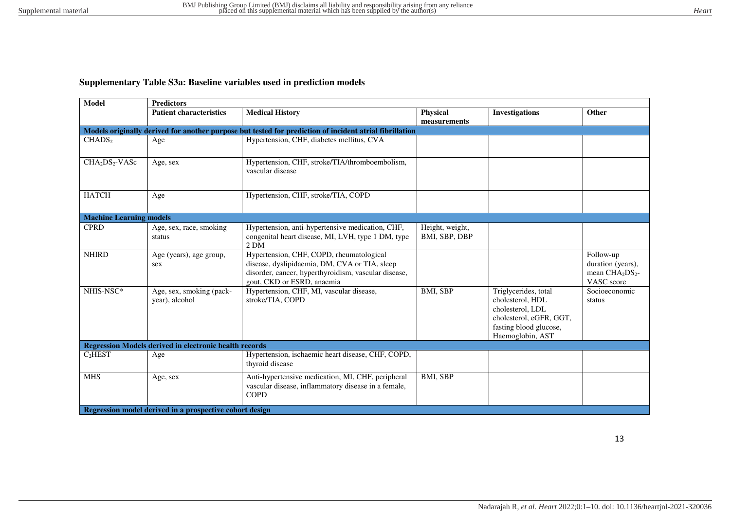# **Supplementary Table S3a: Baseline variables used in prediction models**

| <b>Model</b>                           | <b>Predictors</b>                                             |                                                                                                                                                                                 |                                  |                                                                                                                                       |                                                                                         |  |  |  |  |
|----------------------------------------|---------------------------------------------------------------|---------------------------------------------------------------------------------------------------------------------------------------------------------------------------------|----------------------------------|---------------------------------------------------------------------------------------------------------------------------------------|-----------------------------------------------------------------------------------------|--|--|--|--|
|                                        | <b>Patient characteristics</b>                                | <b>Medical History</b>                                                                                                                                                          | <b>Physical</b><br>measurements  | <b>Investigations</b>                                                                                                                 | Other                                                                                   |  |  |  |  |
|                                        |                                                               | Models originally derived for another purpose but tested for prediction of incident atrial fibrillation                                                                         |                                  |                                                                                                                                       |                                                                                         |  |  |  |  |
| CHADS <sub>2</sub>                     | Age                                                           | Hypertension, CHF, diabetes mellitus, CVA                                                                                                                                       |                                  |                                                                                                                                       |                                                                                         |  |  |  |  |
| CHA <sub>2</sub> DS <sub>2</sub> -VASc | Age, sex                                                      | Hypertension, CHF, stroke/TIA/thromboembolism,<br>vascular disease                                                                                                              |                                  |                                                                                                                                       |                                                                                         |  |  |  |  |
| <b>HATCH</b>                           | Age                                                           | Hypertension, CHF, stroke/TIA, COPD                                                                                                                                             |                                  |                                                                                                                                       |                                                                                         |  |  |  |  |
| <b>Machine Learning models</b>         |                                                               |                                                                                                                                                                                 |                                  |                                                                                                                                       |                                                                                         |  |  |  |  |
| <b>CPRD</b>                            | Age, sex, race, smoking<br>status                             | Hypertension, anti-hypertensive medication, CHF,<br>congenital heart disease, MI, LVH, type 1 DM, type<br>2 DM                                                                  | Height, weight,<br>BMI, SBP, DBP |                                                                                                                                       |                                                                                         |  |  |  |  |
| <b>NHIRD</b>                           | Age (years), age group,<br>sex                                | Hypertension, CHF, COPD, rheumatological<br>disease, dyslipidaemia, DM, CVA or TIA, sleep<br>disorder, cancer, hyperthyroidism, vascular disease,<br>gout, CKD or ESRD, anaemia |                                  |                                                                                                                                       | Follow-up<br>duration (years),<br>mean CHA <sub>2</sub> DS <sub>2</sub> -<br>VASC score |  |  |  |  |
| NHIS-NSC*                              | Age, sex, smoking (pack-<br>year), alcohol                    | Hypertension, CHF, MI, vascular disease,<br>stroke/TIA, COPD                                                                                                                    | <b>BMI. SBP</b>                  | Triglycerides, total<br>cholesterol, HDL<br>cholesterol, LDL<br>cholesterol, eGFR, GGT,<br>fasting blood glucose,<br>Haemoglobin, AST | Socioeconomic<br>status                                                                 |  |  |  |  |
|                                        | <b>Regression Models derived in electronic health records</b> |                                                                                                                                                                                 |                                  |                                                                                                                                       |                                                                                         |  |  |  |  |
| C <sub>2</sub> HEST                    | Age                                                           | Hypertension, ischaemic heart disease, CHF, COPD,<br>thyroid disease                                                                                                            |                                  |                                                                                                                                       |                                                                                         |  |  |  |  |
| <b>MHS</b>                             | Age, sex                                                      | Anti-hypertensive medication, MI, CHF, peripheral<br>vascular disease, inflammatory disease in a female,<br><b>COPD</b>                                                         | <b>BMI, SBP</b>                  |                                                                                                                                       |                                                                                         |  |  |  |  |
|                                        | Regression model derived in a prospective cohort design       |                                                                                                                                                                                 |                                  |                                                                                                                                       |                                                                                         |  |  |  |  |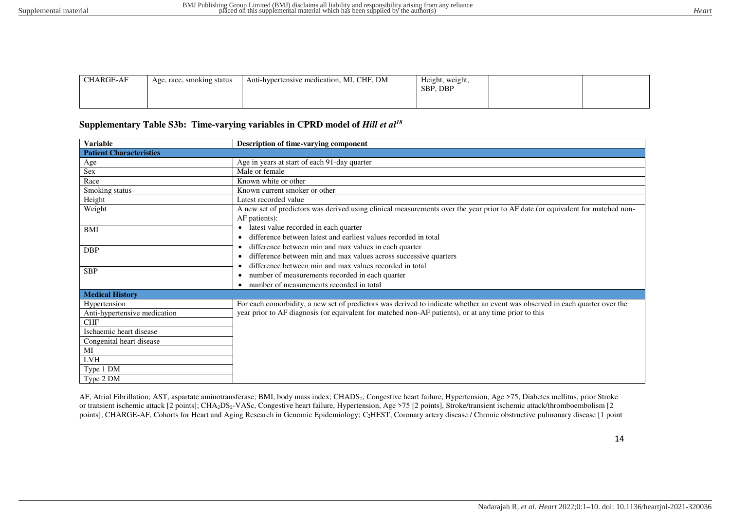| <b>CHARGE-AF</b> | Age, race, smoking status | Anti-hypertensive medication, MI, CHF, DM | Height, weight,<br>SBP, DBP |  |  |
|------------------|---------------------------|-------------------------------------------|-----------------------------|--|--|
|------------------|---------------------------|-------------------------------------------|-----------------------------|--|--|

#### Supplementary Table S3b: Time-varying variables in CPRD model of *Hill et al*<sup>18</sup>

| <b>Variable</b>                                                                                                   | Description of time-varying component                                                                                                                                                                                                |
|-------------------------------------------------------------------------------------------------------------------|--------------------------------------------------------------------------------------------------------------------------------------------------------------------------------------------------------------------------------------|
| <b>Patient Characteristics</b>                                                                                    |                                                                                                                                                                                                                                      |
| Age                                                                                                               | Age in years at start of each 91-day quarter                                                                                                                                                                                         |
| Sex                                                                                                               | Male or female                                                                                                                                                                                                                       |
| Race                                                                                                              | Known white or other                                                                                                                                                                                                                 |
| Smoking status                                                                                                    | Known current smoker or other                                                                                                                                                                                                        |
| Height                                                                                                            | Latest recorded value                                                                                                                                                                                                                |
| Weight                                                                                                            | A new set of predictors was derived using clinical measurements over the year prior to AF date (or equivalent for matched non-<br>AF patients):                                                                                      |
| BMI                                                                                                               | latest value recorded in each quarter<br>$\bullet$<br>difference between latest and earliest values recorded in total                                                                                                                |
| <b>DBP</b>                                                                                                        | difference between min and max values in each quarter<br>$\bullet$<br>difference between min and max values across successive quarters                                                                                               |
| <b>SBP</b>                                                                                                        | difference between min and max values recorded in total<br>number of measurements recorded in each quarter<br>٠<br>number of measurements recorded in total                                                                          |
| <b>Medical History</b>                                                                                            |                                                                                                                                                                                                                                      |
| Hypertension<br>Anti-hypertensive medication<br><b>CHF</b><br>Ischaemic heart disease<br>Congenital heart disease | For each comorbidity, a new set of predictors was derived to indicate whether an event was observed in each quarter over the<br>year prior to AF diagnosis (or equivalent for matched non-AF patients), or at any time prior to this |
| МI<br><b>LVH</b>                                                                                                  |                                                                                                                                                                                                                                      |
| Type 1 DM<br>Type 2 DM                                                                                            |                                                                                                                                                                                                                                      |
|                                                                                                                   |                                                                                                                                                                                                                                      |

AF, Atrial Fibrillation; AST, aspartate aminotransferase; BMI, body mass index; CHADS<sub>2</sub>, Congestive heart failure, Hypertension, Age >75, Diabetes mellitus, prior Stroke or transient ischemic attack [2 points]; CHA<sub>2</sub>DS<sub>2</sub>-VASc, Congestive heart failure, Hypertension, Age >75 [2 points], Stroke/transient ischemic attack/thromboembolism [2 points]; CHARGE-AF, Cohorts for Heart and Aging Research in Genomic Epidemiology; C<sub>2</sub>HEST, Coronary artery disease / Chronic obstructive pulmonary disease [1 point

14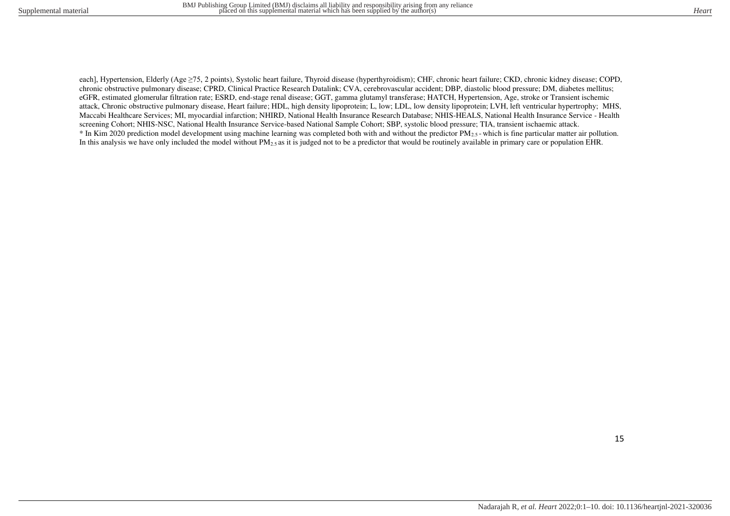each], Hypertension, Elderly (Age ≥75, 2 points), Systolic heart failure, Thyroid disease (hyperthyroidism); CHF, chronic heart failure; CKD, chronic kidney disease; COPD, chronic obstructive pulmonary disease; CPRD, Clinical Practice Research Datalink; CVA, cerebrovascular accident; DBP, diastolic blood pressure; DM, diabetes mellitus; eGFR, estimated glomerular filtration rate; ESRD, end-stage renal disease; GGT, gamma glutamyl transferase; HATCH, Hypertension, Age, stroke or Transient ischemic attack, Chronic obstructive pulmonary disease, Heart failure; HDL, high density lipoprotein; L, low; LDL, low density lipoprotein; LVH, left ventricular hypertrophy; MHS, Maccabi Healthcare Services; MI, myocardial infarction; NHIRD, National Health Insurance Research Database; NHIS-HEALS, National Health Insurance Service - Health screening Cohort; NHIS-NSC, National Health Insurance Service-based National Sample Cohort; SBP, systolic blood pressure; TIA, transient ischaemic attack.  $*$  In Kim 2020 prediction model development using machine learning was completed both with and without the predictor  $PM_{2.5}$ -which is fine particular matter air pollution. In this analysis we have only included the model without PM<sub>2.5</sub> as it is judged not to be a predictor that would be routinely available in primary care or population EHR.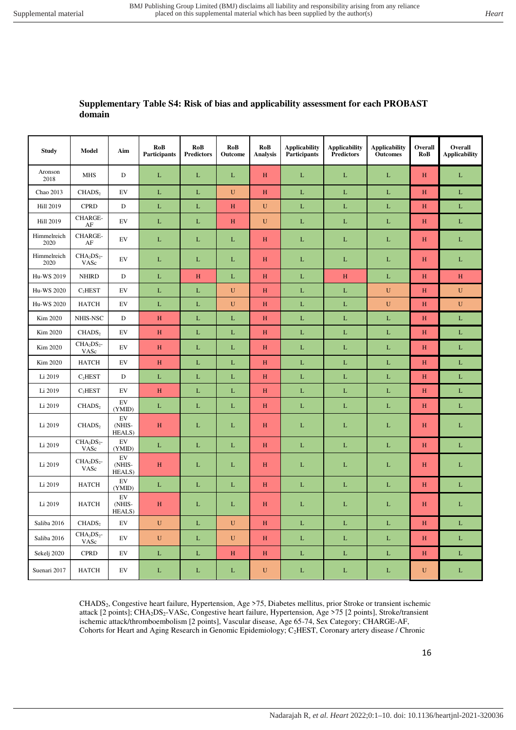## **Supplementary Table S4: Risk of bias and applicability assessment for each PROBAST domain**

| <b>Study</b>        | Model               | Aim                    | RoB<br><b>Participants</b> | RoB<br><b>Predictors</b> | RoB<br>Outcome | RoB<br>Analysis | <b>Applicability</b><br>Participants | <b>Applicability</b><br><b>Predictors</b> | <b>Applicability</b><br><b>Outcomes</b> | Overall<br>RoB            | Overall<br><b>Applicability</b> |
|---------------------|---------------------|------------------------|----------------------------|--------------------------|----------------|-----------------|--------------------------------------|-------------------------------------------|-----------------------------------------|---------------------------|---------------------------------|
| Aronson<br>2018     | <b>MHS</b>          | D                      | $\mathbf{L}$               | L                        | $\mathbf{L}$   | $\, {\rm H}$    | L                                    | $\mathbf L$                               | $\mathbf L$                             | H                         | $\mathbf{L}$                    |
| Chao 2013           | CHADS <sub>2</sub>  | EV                     | $\mathbf L$                | $\mathbf L$              | ${\bf U}$      | $\, {\rm H}$    | $\mathbf L$                          | $\mathbf L$                               | $\mathbf L$                             | $\boldsymbol{\mathrm{H}}$ | $\mathbf L$                     |
| Hill 2019           | <b>CPRD</b>         | $\mathbf D$            | $\mathbf L$                | L                        | H              | $\mathbf U$     | $\mathbf L$                          | L                                         | $\mathbf L$                             | H                         | L                               |
| <b>Hill 2019</b>    | CHARGE-<br>$\rm AF$ | EV                     | L                          | L                        | H              | $\mathbf U$     | $\mathbf L$                          | L                                         | $\mathbf L$                             | H                         | $\mathbf L$                     |
| Himmelreich<br>2020 | CHARGE-<br>$\rm AF$ | EV                     | L                          | L                        | $\mathbf L$    | H               | $\mathbf L$                          | L                                         | $\mathbf L$                             | H                         | L                               |
| Himmelreich<br>2020 | $CHA2DS2$ -<br>VASc | EV                     | $\mathbf{L}$               | L                        | $\mathbf L$    | H               | $\mathbf L$                          | L                                         | $\mathbf L$                             | H                         | L                               |
| Hu-WS 2019          | <b>NHIRD</b>        | D                      | L                          | H                        | $\mathbf L$    | H               | $\mathbf L$                          | H                                         | $\mathbf L$                             | H                         | H                               |
| Hu-WS 2020          | C <sub>2</sub> HEST | EV                     | $\mathbf L$                | L                        | ${\bf U}$      | H               | $\mathbf L$                          | $\mathbf L$                               | ${\bf U}$                               | H                         | ${\bf U}$                       |
| Hu-WS 2020          | <b>HATCH</b>        | EV                     | L                          | L                        | $\mathbf U$    | H               | $\mathbf L$                          | L                                         | $\mathbf U$                             | H                         | $\mathbf U$                     |
| Kim 2020            | NHIS-NSC            | $\mathbf D$            | $\, {\rm H}$               | L                        | $\mathbf L$    | H               | $\mathbf L$                          | L                                         | $\mathbf L$                             | $\boldsymbol{\mathrm{H}}$ | $\mathbf L$                     |
| Kim 2020            | CHADS <sub>2</sub>  | EV                     | H                          | L                        | $\mathbf L$    | H               | $\mathbf L$                          | L                                         | $\mathbf L$                             | H                         | $\mathbf L$                     |
| Kim 2020            | $CHA2DS2$ -<br>VASc | EV                     | H                          | $\mathbf L$              | $\mathbf L$    | H               | $\mathbf L$                          | L                                         | $\mathbf L$                             | H                         | $\mathbf L$                     |
| Kim 2020            | <b>HATCH</b>        | EV                     | H                          | $\mathbf L$              | $\mathbf L$    | H               | $\mathbf L$                          | L                                         | $\mathbf L$                             | H                         | $\mathbf L$                     |
| Li 2019             | C <sub>2</sub> HEST | D                      | L                          | L                        | L              | H               | $\mathbf L$                          | L                                         | $\mathbf L$                             | H                         | $\mathbf L$                     |
| Li 2019             | C <sub>2</sub> HEST | EV                     | H                          | L                        | $\mathbf L$    | H               | $\mathbf L$                          | $\mathbf L$                               | $\mathbf L$                             | H                         | $\mathbf L$                     |
| Li 2019             | CHADS <sub>2</sub>  | EV<br>(YMID)           | L                          | $\mathbf L$              | $\mathbf L$    | H               | $\mathbf L$                          | L                                         | $\mathbf L$                             | H                         | $\mathbf L$                     |
| Li 2019             | CHADS <sub>2</sub>  | EV<br>(NHIS-<br>HEALS) | H                          | L                        | L              | H               | L                                    | L                                         | $\mathbf L$                             | H                         | L                               |
| Li 2019             | $CHA2DS2$ -<br>VASc | EV<br>(YMID)           | L                          | L                        | $\mathbf L$    | H               | $\mathbf L$                          | L                                         | $\mathbf L$                             | H                         | L                               |
| Li 2019             | $CHA2DS2$ -<br>VASc | EV<br>(NHIS-<br>HEALS) | H                          | L                        | $\mathbf{L}$   | H               | L                                    | $\mathbf L$                               | $\mathbf L$                             | H                         | L                               |
| Li 2019             | <b>HATCH</b>        | EV<br>(YMID)           | L                          | L                        | L              | $\, {\rm H}$    | L                                    | L                                         | $\mathbf{L}$                            | $H_{\rm}$                 | L                               |
| Li 2019             | <b>HATCH</b>        | EV<br>(NHIS-<br>HEALS) | H                          | $\mathbf L$              | $\mathbf L$    | H               | $\mathbf L$                          | L                                         | $\mathbf L$                             | H                         | $\mathbf L$                     |
| Saliba 2016         | CHADS <sub>2</sub>  | EV                     | $\mathbf U$                | L                        | $\mathbf U$    | H               | $\mathbf L$                          | L                                         | $\mathbf L$                             | H                         | L                               |
| Saliba 2016         | $CHA2DS2$ -<br>VASc | EV                     | U                          | L                        | $\mathbf U$    | H               | L                                    | L                                         | $\mathbf L$                             | H                         | L                               |
| Sekelj 2020         | <b>CPRD</b>         | EV                     | $\mathbf L$                | L                        | H              | H               | $\mathbf L$                          | L                                         | $\mathbf L$                             | H                         | $\mathbf L$                     |
| Suenari 2017        | <b>HATCH</b>        | EV                     | $\mathbf{L}$               | L                        | L              | $\mathbf U$     | L                                    | L                                         | $\mathbf L$                             | $\mathbf U$               | L                               |

CHADS2, Congestive heart failure, Hypertension, Age >75, Diabetes mellitus, prior Stroke or transient ischemic attack [2 points]; CHA2DS2-VASc, Congestive heart failure, Hypertension, Age >75 [2 points], Stroke/transient ischemic attack/thromboembolism [2 points], Vascular disease, Age 65-74, Sex Category; CHARGE-AF, Cohorts for Heart and Aging Research in Genomic Epidemiology; C2HEST, Coronary artery disease / Chronic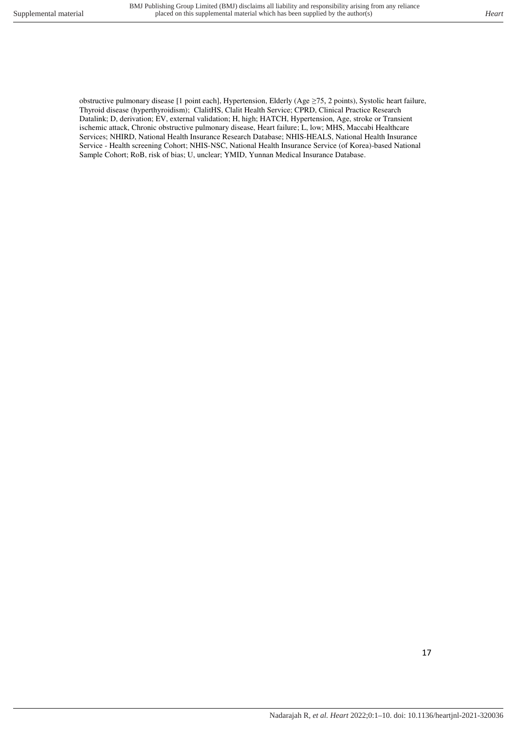obstructive pulmonary disease [1 point each], Hypertension, Elderly (Age ≥75, 2 points), Systolic heart failure, Thyroid disease (hyperthyroidism); ClalitHS, Clalit Health Service; CPRD, Clinical Practice Research Datalink; D, derivation; EV, external validation; H, high; HATCH, Hypertension, Age, stroke or Transient ischemic attack, Chronic obstructive pulmonary disease, Heart failure; L, low; MHS, Maccabi Healthcare Services; NHIRD, National Health Insurance Research Database; NHIS-HEALS, National Health Insurance Service - Health screening Cohort; NHIS-NSC, National Health Insurance Service (of Korea)-based National Sample Cohort; RoB, risk of bias; U, unclear; YMID, Yunnan Medical Insurance Database.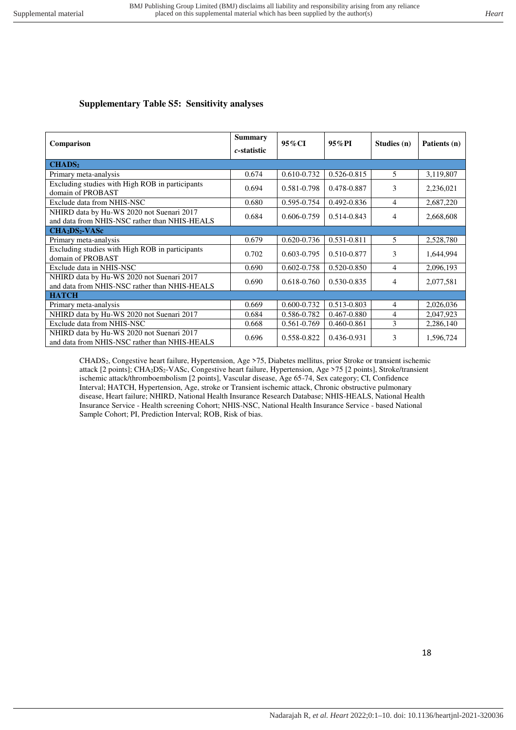# **Supplementary Table S5: Sensitivity analyses**

| Comparison                                                                                 | <b>Summary</b><br>c-statistic | 95% CI          | $95\%$ PI       | Studies (n) | Patients (n) |
|--------------------------------------------------------------------------------------------|-------------------------------|-----------------|-----------------|-------------|--------------|
| CHADS <sub>2</sub>                                                                         |                               |                 |                 |             |              |
| Primary meta-analysis                                                                      | 0.674                         | $0.610 - 0.732$ | $0.526 - 0.815$ | 5.          | 3,119,807    |
| Excluding studies with High ROB in participants<br>domain of PROBAST                       | 0.694                         | 0.581-0.798     | 0.478-0.887     | 3           | 2,236,021    |
| Exclude data from NHIS-NSC                                                                 | 0.680                         | 0.595-0.754     | 0.492-0.836     | 4           | 2,687,220    |
| NHIRD data by Hu-WS 2020 not Suenari 2017<br>and data from NHIS-NSC rather than NHIS-HEALS | 0.684                         | 0.606-0.759     | $0.514 - 0.843$ | 4           | 2,668,608    |
| $CHA2DS2-VASc$                                                                             |                               |                 |                 |             |              |
| Primary meta-analysis                                                                      | 0.679                         | $0.620 - 0.736$ | $0.531 - 0.811$ | 5           | 2,528,780    |
| Excluding studies with High ROB in participants<br>domain of PROBAST                       | 0.702                         | 0.603-0.795     | 0.510-0.877     | 3           | 1,644,994    |
| Exclude data in NHIS-NSC                                                                   | 0.690                         | 0.602-0.758     | 0.520-0.850     | 4           | 2,096,193    |
| NHIRD data by Hu-WS 2020 not Suenari 2017<br>and data from NHIS-NSC rather than NHIS-HEALS | 0.690                         | 0.618-0.760     | 0.530-0.835     | 4           | 2,077,581    |
| <b>HATCH</b>                                                                               |                               |                 |                 |             |              |
| Primary meta-analysis                                                                      | 0.669                         | 0.600-0.732     | 0.513-0.803     | 4           | 2,026,036    |
| NHIRD data by Hu-WS 2020 not Suenari 2017                                                  | 0.684                         | 0.586-0.782     | 0.467-0.880     | 4           | 2,047,923    |
| Exclude data from NHIS-NSC                                                                 | 0.668                         | 0.561-0.769     | 0.460-0.861     | 3           | 2,286,140    |
| NHIRD data by Hu-WS 2020 not Suenari 2017<br>and data from NHIS-NSC rather than NHIS-HEALS | 0.696                         | 0.558-0.822     | 0.436-0.931     | 3           | 1,596,724    |

CHADS2, Congestive heart failure, Hypertension, Age >75, Diabetes mellitus, prior Stroke or transient ischemic attack [2 points]; CHA2DS2-VASc, Congestive heart failure, Hypertension, Age >75 [2 points], Stroke/transient ischemic attack/thromboembolism [2 points], Vascular disease, Age 65-74, Sex category; CI, Confidence Interval; HATCH, Hypertension, Age, stroke or Transient ischemic attack, Chronic obstructive pulmonary disease, Heart failure; NHIRD, National Health Insurance Research Database; NHIS-HEALS, National Health Insurance Service - Health screening Cohort; NHIS-NSC, National Health Insurance Service - based National Sample Cohort; PI, Prediction Interval; ROB, Risk of bias.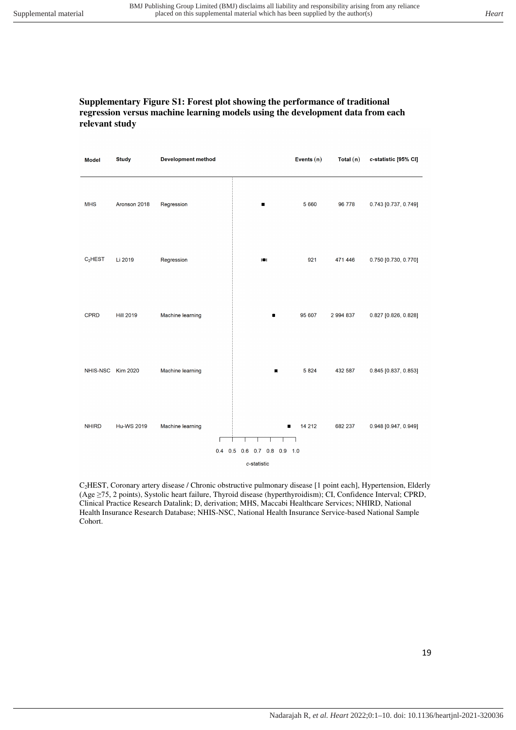#### **Supplementary Figure S1: Forest plot showing the performance of traditional regression versus machine learning models using the development data from each relevant study**

| <b>Model</b>        | <b>Study</b>      | <b>Development method</b> |                             | Events $(n)$ | Total $(n)$ | c-statistic [95% CI] |
|---------------------|-------------------|---------------------------|-----------------------------|--------------|-------------|----------------------|
| <b>MHS</b>          | Aronson 2018      | Regression                | ٠                           | 5 6 6 0      | 96 778      | 0.743 [0.737, 0.749] |
| C <sub>2</sub> HEST | Li 2019           | Regression                | HН                          | 921          | 471 446     | 0.750 [0.730, 0.770] |
| <b>CPRD</b>         | <b>Hill 2019</b>  | Machine learning          |                             | 95 607       | 2 994 837   | 0.827 [0.826, 0.828] |
| NHIS-NSC            | <b>Kim 2020</b>   | Machine learning          | п                           | 5824         | 432 587     | 0.845 [0.837, 0.853] |
| <b>NHIRD</b>        | <b>Hu-WS 2019</b> | Machine learning          | 0.4 0.5 0.6 0.7 0.8 0.9 1.0 | 14 212       | 682 237     | 0.948 [0.947, 0.949] |
|                     |                   |                           | c-statistic                 |              |             |                      |

C2HEST, Coronary artery disease / Chronic obstructive pulmonary disease [1 point each], Hypertension, Elderly (Age ≥75, 2 points), Systolic heart failure, Thyroid disease (hyperthyroidism); CI, Confidence Interval; CPRD, Clinical Practice Research Datalink; D, derivation; MHS, Maccabi Healthcare Services; NHIRD, National Health Insurance Research Database; NHIS-NSC, National Health Insurance Service-based National Sample Cohort.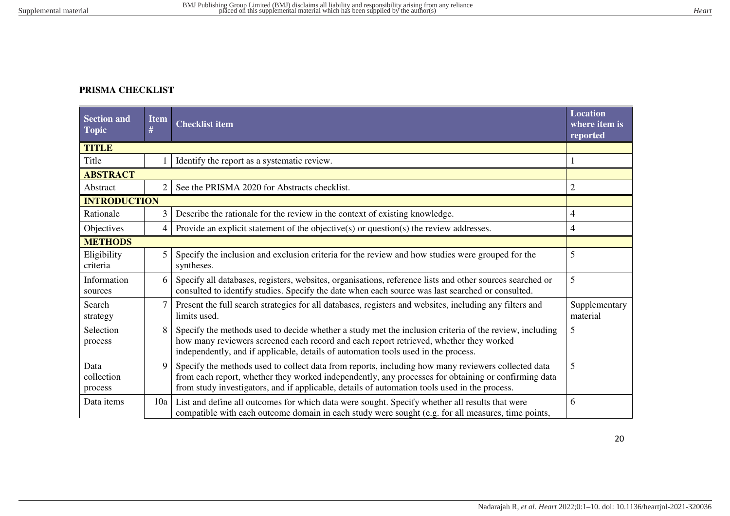# **PRISMA CHECKLIST**

| <b>Section and</b><br><b>Topic</b> | <b>Item</b><br># | <b>Checklist item</b>                                                                                                                                                                                                                                                                                      | <b>Location</b><br>where item is<br>reported |
|------------------------------------|------------------|------------------------------------------------------------------------------------------------------------------------------------------------------------------------------------------------------------------------------------------------------------------------------------------------------------|----------------------------------------------|
| <b>TITLE</b>                       |                  |                                                                                                                                                                                                                                                                                                            |                                              |
| Title                              |                  | Identify the report as a systematic review.                                                                                                                                                                                                                                                                |                                              |
| <b>ABSTRACT</b>                    |                  |                                                                                                                                                                                                                                                                                                            |                                              |
| Abstract                           | $\overline{2}$   | See the PRISMA 2020 for Abstracts checklist.                                                                                                                                                                                                                                                               | $\overline{c}$                               |
| <b>INTRODUCTION</b>                |                  |                                                                                                                                                                                                                                                                                                            |                                              |
| Rationale                          | 3                | Describe the rationale for the review in the context of existing knowledge.                                                                                                                                                                                                                                | 4                                            |
| Objectives                         | 4                | Provide an explicit statement of the objective( $s$ ) or question( $s$ ) the review addresses.                                                                                                                                                                                                             | 4                                            |
| <b>METHODS</b>                     |                  |                                                                                                                                                                                                                                                                                                            |                                              |
| Eligibility<br>criteria            | 5                | Specify the inclusion and exclusion criteria for the review and how studies were grouped for the<br>syntheses.                                                                                                                                                                                             | 5                                            |
| Information<br>sources             | 6                | Specify all databases, registers, websites, organisations, reference lists and other sources searched or<br>consulted to identify studies. Specify the date when each source was last searched or consulted.                                                                                               | 5                                            |
| Search<br>strategy                 |                  | Present the full search strategies for all databases, registers and websites, including any filters and<br>limits used.                                                                                                                                                                                    | Supplementary<br>material                    |
| Selection<br>process               | 8                | Specify the methods used to decide whether a study met the inclusion criteria of the review, including<br>how many reviewers screened each record and each report retrieved, whether they worked<br>independently, and if applicable, details of automation tools used in the process.                     | 5                                            |
| Data<br>collection<br>process      | 9                | Specify the methods used to collect data from reports, including how many reviewers collected data<br>from each report, whether they worked independently, any processes for obtaining or confirming data<br>from study investigators, and if applicable, details of automation tools used in the process. | 5                                            |
| Data items                         | 10a              | List and define all outcomes for which data were sought. Specify whether all results that were<br>compatible with each outcome domain in each study were sought (e.g. for all measures, time points,                                                                                                       | 6                                            |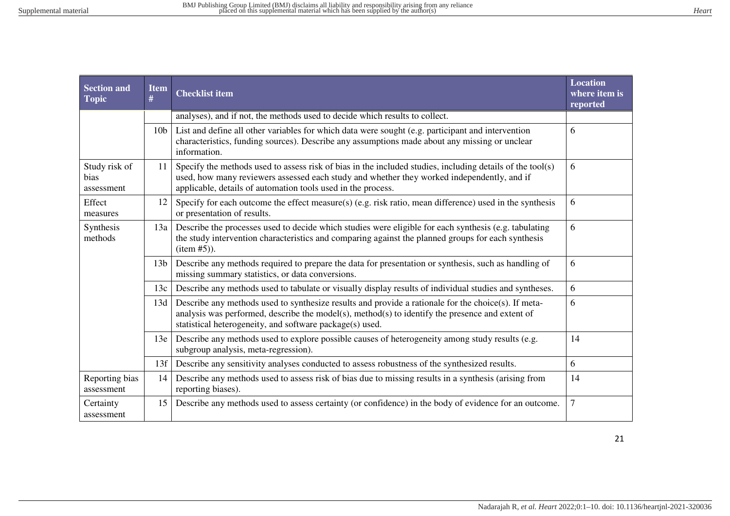| <b>Section and</b><br><b>Topic</b>  | <b>Item</b><br># | <b>Location</b><br><b>Checklist item</b><br>where item is<br>reported                                                                                                                                                                                                   |                |  |  |
|-------------------------------------|------------------|-------------------------------------------------------------------------------------------------------------------------------------------------------------------------------------------------------------------------------------------------------------------------|----------------|--|--|
|                                     |                  | analyses), and if not, the methods used to decide which results to collect.                                                                                                                                                                                             |                |  |  |
|                                     | 10 <sub>b</sub>  | List and define all other variables for which data were sought (e.g. participant and intervention<br>characteristics, funding sources). Describe any assumptions made about any missing or unclear<br>information.                                                      | 6              |  |  |
| Study risk of<br>bias<br>assessment | 11               | Specify the methods used to assess risk of bias in the included studies, including details of the tool(s)<br>used, how many reviewers assessed each study and whether they worked independently, and if<br>applicable, details of automation tools used in the process. | 6              |  |  |
| Effect<br>measures                  | 12               | Specify for each outcome the effect measure(s) (e.g. risk ratio, mean difference) used in the synthesis<br>or presentation of results.                                                                                                                                  | 6              |  |  |
| Synthesis<br>methods                | 13a              | Describe the processes used to decide which studies were eligible for each synthesis (e.g. tabulating<br>the study intervention characteristics and comparing against the planned groups for each synthesis<br>item #5).                                                | 6              |  |  |
|                                     | 13 <sub>b</sub>  | Describe any methods required to prepare the data for presentation or synthesis, such as handling of<br>missing summary statistics, or data conversions.                                                                                                                | 6              |  |  |
|                                     | 13c              | Describe any methods used to tabulate or visually display results of individual studies and syntheses.                                                                                                                                                                  | 6              |  |  |
|                                     | 13d              | Describe any methods used to synthesize results and provide a rationale for the choice(s). If meta-<br>analysis was performed, describe the model(s), method(s) to identify the presence and extent of<br>statistical heterogeneity, and software package(s) used.      | 6              |  |  |
|                                     | 13e              | Describe any methods used to explore possible causes of heterogeneity among study results (e.g.<br>subgroup analysis, meta-regression).                                                                                                                                 | 14             |  |  |
|                                     | 13f              | Describe any sensitivity analyses conducted to assess robustness of the synthesized results.                                                                                                                                                                            | 6              |  |  |
| Reporting bias<br>assessment        | 14               | Describe any methods used to assess risk of bias due to missing results in a synthesis (arising from<br>reporting biases).                                                                                                                                              | 14             |  |  |
| Certainty<br>assessment             | 15               | Describe any methods used to assess certainty (or confidence) in the body of evidence for an outcome.                                                                                                                                                                   | $\overline{7}$ |  |  |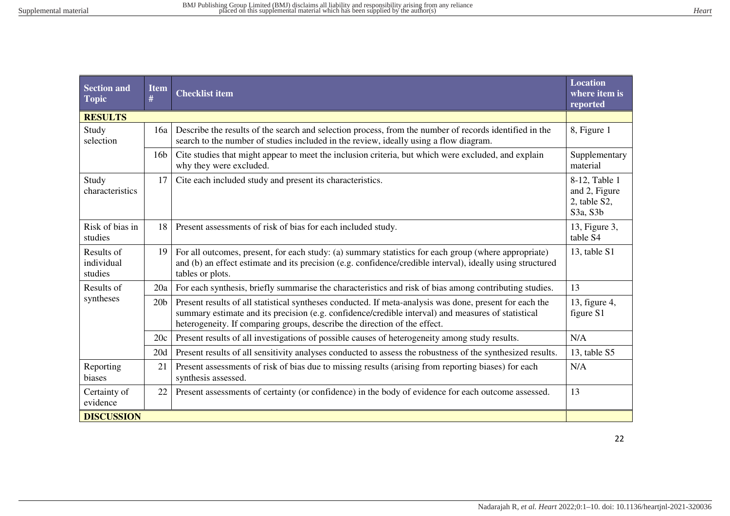| <b>Section and</b><br><b>Topic</b>  | <b>Item</b><br># | <b>Checklist item</b>                                                                                                                                                                                                                                                                      | <b>Location</b><br>where item is<br>reported |  |  |
|-------------------------------------|------------------|--------------------------------------------------------------------------------------------------------------------------------------------------------------------------------------------------------------------------------------------------------------------------------------------|----------------------------------------------|--|--|
| <b>RESULTS</b>                      |                  |                                                                                                                                                                                                                                                                                            |                                              |  |  |
| Study<br>selection                  | 16a              | Describe the results of the search and selection process, from the number of records identified in the<br>search to the number of studies included in the review, ideally using a flow diagram.                                                                                            | 8, Figure 1                                  |  |  |
|                                     | 16 <sub>b</sub>  | Cite studies that might appear to meet the inclusion criteria, but which were excluded, and explain<br>why they were excluded.                                                                                                                                                             | Supplementary<br>material                    |  |  |
| Study<br>characteristics            | 17               | Cite each included study and present its characteristics.<br>8-12, Table 1<br>and 2, Figure<br>2, table S2,<br>S3a, S3b                                                                                                                                                                    |                                              |  |  |
| Risk of bias in<br>studies          | 18               | Present assessments of risk of bias for each included study.                                                                                                                                                                                                                               |                                              |  |  |
| Results of<br>individual<br>studies | 19               | For all outcomes, present, for each study: (a) summary statistics for each group (where appropriate)<br>and (b) an effect estimate and its precision (e.g. confidence/credible interval), ideally using structured<br>tables or plots.                                                     |                                              |  |  |
| Results of                          | 20a              | For each synthesis, briefly summarise the characteristics and risk of bias among contributing studies.                                                                                                                                                                                     | 13                                           |  |  |
| syntheses                           | 20 <sub>b</sub>  | Present results of all statistical syntheses conducted. If meta-analysis was done, present for each the<br>summary estimate and its precision (e.g. confidence/credible interval) and measures of statistical<br>heterogeneity. If comparing groups, describe the direction of the effect. | 13, figure 4,<br>figure S1                   |  |  |
|                                     | 20c              | Present results of all investigations of possible causes of heterogeneity among study results.                                                                                                                                                                                             | N/A                                          |  |  |
|                                     | 20d              | Present results of all sensitivity analyses conducted to assess the robustness of the synthesized results.                                                                                                                                                                                 | 13, table S5                                 |  |  |
| Reporting<br>biases                 | 21               | Present assessments of risk of bias due to missing results (arising from reporting biases) for each<br>synthesis assessed.                                                                                                                                                                 | N/A                                          |  |  |
| Certainty of<br>evidence            | 22               | Present assessments of certainty (or confidence) in the body of evidence for each outcome assessed.                                                                                                                                                                                        | 13                                           |  |  |
| <b>DISCUSSION</b>                   |                  |                                                                                                                                                                                                                                                                                            |                                              |  |  |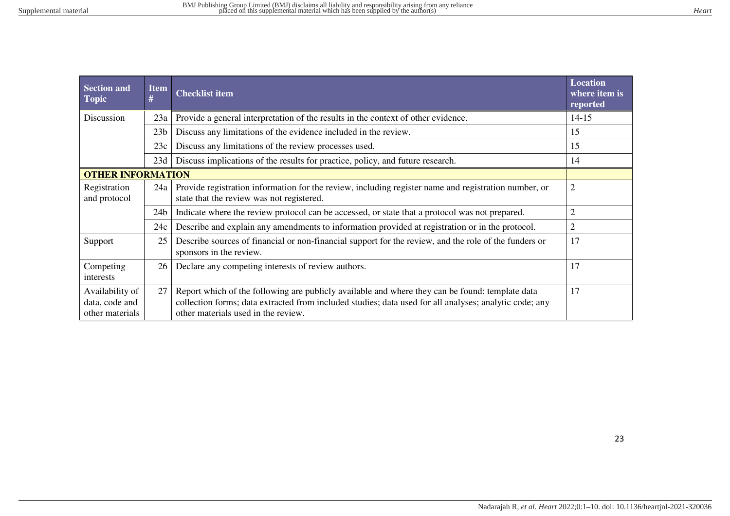| Hear |
|------|
|      |
|      |
|      |

| <b>Section and</b><br><b>Topic</b>                   | <b>Item</b><br># | <b>Checklist item</b>                                                                                                                                                                                                                            |                |
|------------------------------------------------------|------------------|--------------------------------------------------------------------------------------------------------------------------------------------------------------------------------------------------------------------------------------------------|----------------|
| Discussion                                           | 23a              | Provide a general interpretation of the results in the context of other evidence.                                                                                                                                                                | $14 - 15$      |
|                                                      | 23 <sub>b</sub>  | Discuss any limitations of the evidence included in the review.                                                                                                                                                                                  | 15             |
|                                                      | 23c              | Discuss any limitations of the review processes used.                                                                                                                                                                                            | 15             |
|                                                      | 23d              | Discuss implications of the results for practice, policy, and future research.                                                                                                                                                                   | 14             |
| <b>OTHER INFORMATION</b>                             |                  |                                                                                                                                                                                                                                                  |                |
| Registration<br>and protocol                         | 24a              | Provide registration information for the review, including register name and registration number, or<br>state that the review was not registered.                                                                                                | $\overline{2}$ |
|                                                      | 24 <sub>b</sub>  | Indicate where the review protocol can be accessed, or state that a protocol was not prepared.                                                                                                                                                   | $\overline{2}$ |
|                                                      | 24c              | Describe and explain any amendments to information provided at registration or in the protocol.                                                                                                                                                  | $\overline{2}$ |
| Support                                              | 25               | Describe sources of financial or non-financial support for the review, and the role of the funders or<br>sponsors in the review.                                                                                                                 | 17             |
| Competing<br>interests                               | 26               | Declare any competing interests of review authors.                                                                                                                                                                                               | 17             |
| Availability of<br>data, code and<br>other materials | 27               | Report which of the following are publicly available and where they can be found: template data<br>collection forms; data extracted from included studies; data used for all analyses; analytic code; any<br>other materials used in the review. |                |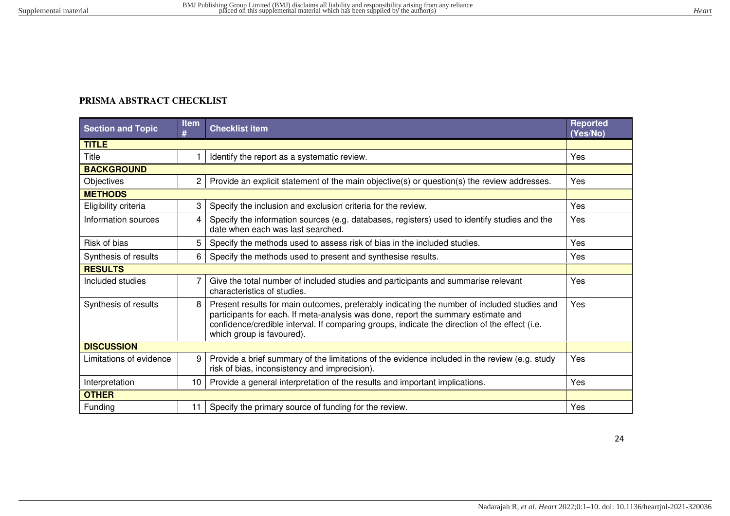# **PRISMA ABSTRACT CHECKLIST**

| <b>Section and Topic</b> | <b>Item</b><br># | <b>Checklist item</b>                                                                                                                                                                                                                                                                                          | <b>Reported</b><br>(Yes/No) |  |
|--------------------------|------------------|----------------------------------------------------------------------------------------------------------------------------------------------------------------------------------------------------------------------------------------------------------------------------------------------------------------|-----------------------------|--|
| <b>TITLE</b>             |                  |                                                                                                                                                                                                                                                                                                                |                             |  |
| Title                    |                  | Identify the report as a systematic review.                                                                                                                                                                                                                                                                    | Yes                         |  |
| <b>BACKGROUND</b>        |                  |                                                                                                                                                                                                                                                                                                                |                             |  |
| Objectives               | $\overline{c}$   | Provide an explicit statement of the main objective(s) or question(s) the review addresses.                                                                                                                                                                                                                    | Yes                         |  |
| <b>METHODS</b>           |                  |                                                                                                                                                                                                                                                                                                                |                             |  |
| Eligibility criteria     | 3                | Specify the inclusion and exclusion criteria for the review.                                                                                                                                                                                                                                                   | Yes                         |  |
| Information sources      | 4                | Specify the information sources (e.g. databases, registers) used to identify studies and the<br>date when each was last searched.                                                                                                                                                                              | Yes                         |  |
| Risk of bias             | 5                | Specify the methods used to assess risk of bias in the included studies.                                                                                                                                                                                                                                       | Yes                         |  |
| Synthesis of results     | 6                | Specify the methods used to present and synthesise results.                                                                                                                                                                                                                                                    | Yes                         |  |
| <b>RESULTS</b>           |                  |                                                                                                                                                                                                                                                                                                                |                             |  |
| Included studies         | 7                | Give the total number of included studies and participants and summarise relevant<br>characteristics of studies.                                                                                                                                                                                               | Yes                         |  |
| Synthesis of results     | 8                | Present results for main outcomes, preferably indicating the number of included studies and<br>participants for each. If meta-analysis was done, report the summary estimate and<br>confidence/credible interval. If comparing groups, indicate the direction of the effect (i.e.<br>which group is favoured). | Yes                         |  |
| <b>DISCUSSION</b>        |                  |                                                                                                                                                                                                                                                                                                                |                             |  |
| Limitations of evidence  | 9                | Provide a brief summary of the limitations of the evidence included in the review (e.g. study<br>risk of bias, inconsistency and imprecision).                                                                                                                                                                 | Yes                         |  |
| Interpretation           | 10               | Provide a general interpretation of the results and important implications.                                                                                                                                                                                                                                    | Yes                         |  |
| <b>OTHER</b>             |                  |                                                                                                                                                                                                                                                                                                                |                             |  |
| Funding                  | 11               | Specify the primary source of funding for the review.                                                                                                                                                                                                                                                          | Yes                         |  |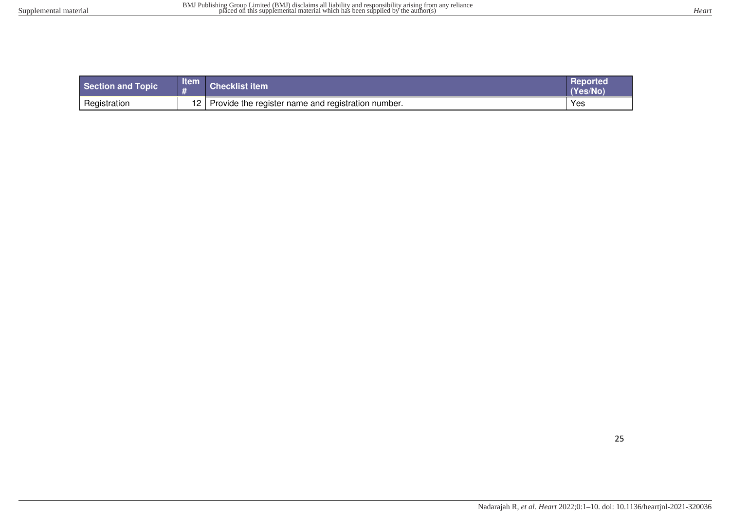| Section and Topic | <b>Item</b>     | <b>Checklist item</b>                              | <b>Reported</b><br>(Yes/No |
|-------------------|-----------------|----------------------------------------------------|----------------------------|
| Registration      | 12 <sup>2</sup> | Provide the register name and registration number. | Yes                        |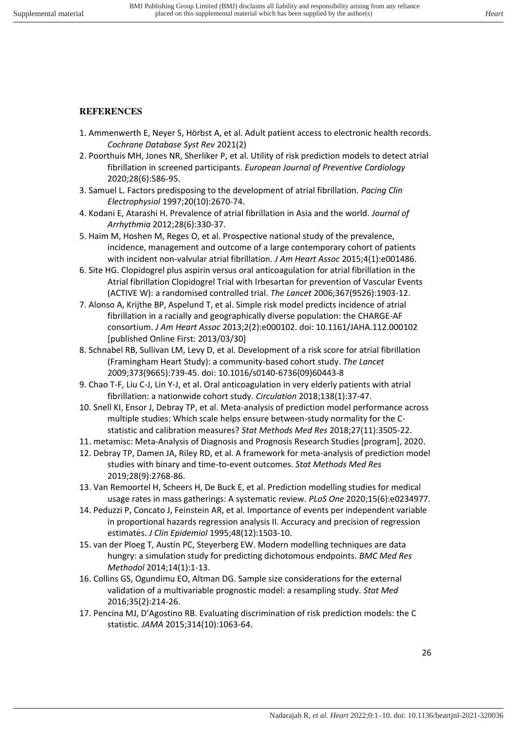# **REFERENCES**

- 1. Ammenwerth E, Neyer S, Hörbst A, et al. Adult patient access to electronic health records. *Cochrane Database Syst Rev* 2021(2)
- 2. Poorthuis MH, Jones NR, Sherliker P, et al. Utility of risk prediction models to detect atrial fibrillation in screened participants. *European Journal of Preventive Cardiology* 2020;28(6):586-95.
- 3. Samuel L. Factors predisposing to the development of atrial fibrillation. *Pacing Clin Electrophysiol* 1997;20(10):2670-74.
- 4. Kodani E, Atarashi H. Prevalence of atrial fibrillation in Asia and the world. *Journal of Arrhythmia* 2012;28(6):330-37.
- 5. Haim M, Hoshen M, Reges O, et al. Prospective national study of the prevalence, incidence, management and outcome of a large contemporary cohort of patients with incident non‐valvular atrial fibrillation. *J Am Heart Assoc* 2015;4(1):e001486.
- 6. Site HG. Clopidogrel plus aspirin versus oral anticoagulation for atrial fibrillation in the Atrial fibrillation Clopidogrel Trial with Irbesartan for prevention of Vascular Events (ACTIVE W): a randomised controlled trial. *The Lancet* 2006;367(9526):1903-12.
- 7. Alonso A, Krijthe BP, Aspelund T, et al. Simple risk model predicts incidence of atrial fibrillation in a racially and geographically diverse population: the CHARGE-AF consortium. *J Am Heart Assoc* 2013;2(2):e000102. doi: 10.1161/JAHA.112.000102 [published Online First: 2013/03/30]
- 8. Schnabel RB, Sullivan LM, Levy D, et al. Development of a risk score for atrial fibrillation (Framingham Heart Study): a community-based cohort study. *The Lancet* 2009;373(9665):739-45. doi: 10.1016/s0140-6736(09)60443-8
- 9. Chao T-F, Liu C-J, Lin Y-J, et al. Oral anticoagulation in very elderly patients with atrial fibrillation: a nationwide cohort study. *Circulation* 2018;138(1):37-47.
- 10. Snell KI, Ensor J, Debray TP, et al. Meta-analysis of prediction model performance across multiple studies: Which scale helps ensure between-study normality for the Cstatistic and calibration measures? *Stat Methods Med Res* 2018;27(11):3505-22.
- 11. metamisc: Meta-Analysis of Diagnosis and Prognosis Research Studies [program], 2020.
- 12. Debray TP, Damen JA, Riley RD, et al. A framework for meta-analysis of prediction model studies with binary and time-to-event outcomes. *Stat Methods Med Res* 2019;28(9):2768-86.
- 13. Van Remoortel H, Scheers H, De Buck E, et al. Prediction modelling studies for medical usage rates in mass gatherings: A systematic review. *PLoS One* 2020;15(6):e0234977.
- 14. Peduzzi P, Concato J, Feinstein AR, et al. Importance of events per independent variable in proportional hazards regression analysis II. Accuracy and precision of regression estimates. *J Clin Epidemiol* 1995;48(12):1503-10.
- 15. van der Ploeg T, Austin PC, Steyerberg EW. Modern modelling techniques are data hungry: a simulation study for predicting dichotomous endpoints. *BMC Med Res Methodol* 2014;14(1):1-13.
- 16. Collins GS, Ogundimu EO, Altman DG. Sample size considerations for the external validation of a multivariable prognostic model: a resampling study. *Stat Med* 2016;35(2):214-26.
- 17. Pencina MJ, D'Agostino RB. Evaluating discrimination of risk prediction models: the C statistic. *JAMA* 2015;314(10):1063-64.